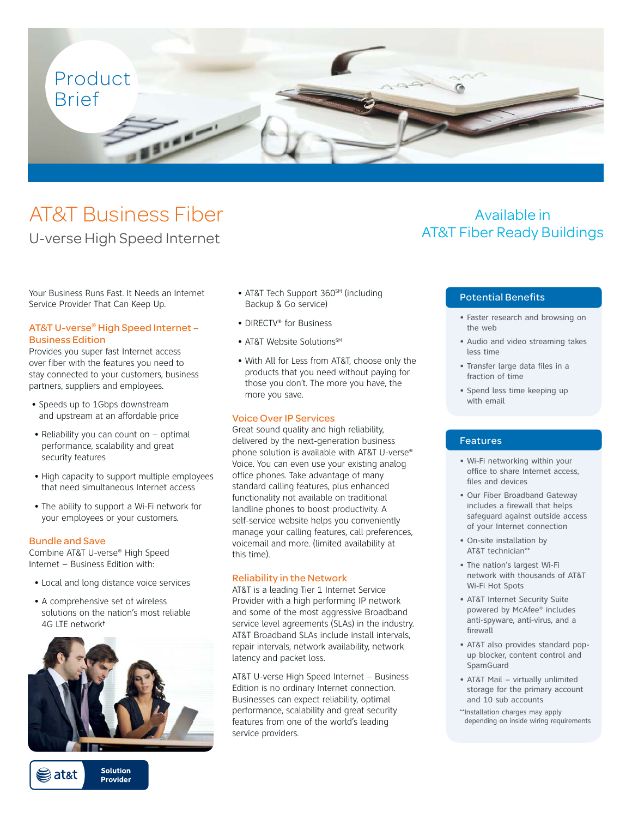

# AT&T Business Fiber

### U-verse High Speed Internet

Your Business Runs Fast. It Needs an Internet Service Provider That Can Keep Up.

### AT&T U-verse® High Speed Internet – Business Edition

Provides you super fast Internet access over fiber with the features you need to stay connected to your customers, business partners, suppliers and employees.

- Speeds up to 1Gbps downstream and upstream at an affordable price
- Reliability you can count on optimal performance, scalability and great security features
- High capacity to support multiple employees that need simultaneous Internet access
- The ability to support a Wi-Fi network for your employees or your customers.

### Bundle and Save

Combine AT&T U-verse® High Speed Internet – Business Edition with:

- Local and long distance voice services
- A comprehensive set of wireless solutions on the nation's most reliable 4G LTE network†



**Solution** iat&t Provider

- AT&T Tech Support 360<sup>SM</sup> (including Backup & Go service)
- DIRECTV® for Business
- AT&T Website Solutions<sup>SM</sup>
- With All for Less from AT&T, choose only the products that you need without paying for those you don't. The more you have, the more you save.

### Voice Over IP Services

Great sound quality and high reliability, delivered by the next-generation business phone solution is available with AT&T U-verse® Voice. You can even use your existing analog office phones. Take advantage of many standard calling features, plus enhanced functionality not available on traditional landline phones to boost productivity. A self-service website helps you conveniently manage your calling features, call preferences, voicemail and more. (limited availability at this time).

### Reliability in the Network

AT&T is a leading Tier 1 Internet Service Provider with a high performing IP network and some of the most aggressive Broadband service level agreements (SLAs) in the industry. AT&T Broadband SLAs include install intervals, repair intervals, network availability, network latency and packet loss.

AT&T U-verse High Speed Internet – Business Edition is no ordinary Internet connection. Businesses can expect reliability, optimal performance, scalability and great security features from one of the world's leading service providers.

## Available in AT&T Fiber Ready Buildings

### Potential Benefits

- Faster research and browsing on the web
- Audio and video streaming takes less time
- Transfer large data files in a fraction of time
- Spend less time keeping up with email

### Features

- Wi-Fi networking within your office to share Internet access, files and devices
- Our Fiber Broadband Gateway includes a firewall that helps safeguard against outside access of your Internet connection
- On-site installation by AT&T technician\*\*
- The nation's largest Wi-Fi network with thousands of AT&T Wi-Fi Hot Spots
- AT&T Internet Security Suite powered by McAfee® includes anti-spyware, anti-virus, and a firewall
- AT&T also provides standard popup blocker, content control and SpamGuard
- AT&T Mail virtually unlimited storage for the primary account and 10 sub accounts
- \*\*Installation charges may apply depending on inside wiring requirements